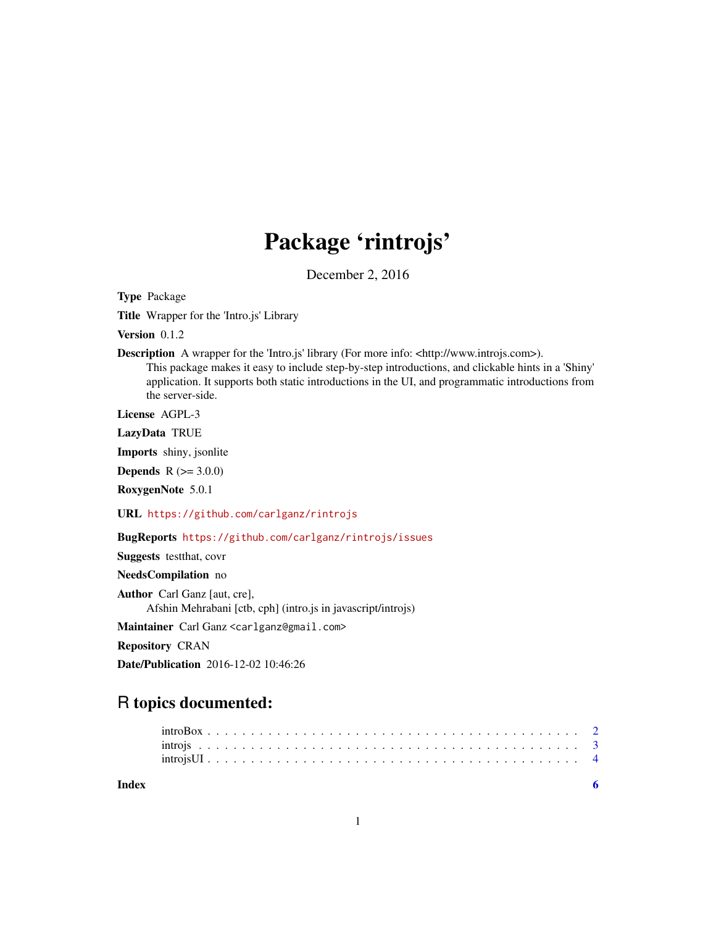# Package 'rintrojs'

December 2, 2016

Type Package

Title Wrapper for the 'Intro.js' Library

Version 0.1.2

Description A wrapper for the 'Intro.js' library (For more info: <http://www.introjs.com>). This package makes it easy to include step-by-step introductions, and clickable hints in a 'Shiny' application. It supports both static introductions in the UI, and programmatic introductions from the server-side.

License AGPL-3

LazyData TRUE

Imports shiny, jsonlite

**Depends**  $R (= 3.0.0)$ 

RoxygenNote 5.0.1

URL <https://github.com/carlganz/rintrojs>

BugReports <https://github.com/carlganz/rintrojs/issues>

Suggests testthat, covr

NeedsCompilation no

Author Carl Ganz [aut, cre], Afshin Mehrabani [ctb, cph] (intro.js in javascript/introjs)

Maintainer Carl Ganz <carlganz@gmail.com>

Repository CRAN

Date/Publication 2016-12-02 10:46:26

# R topics documented:

**Index** [6](#page-5-0) **6**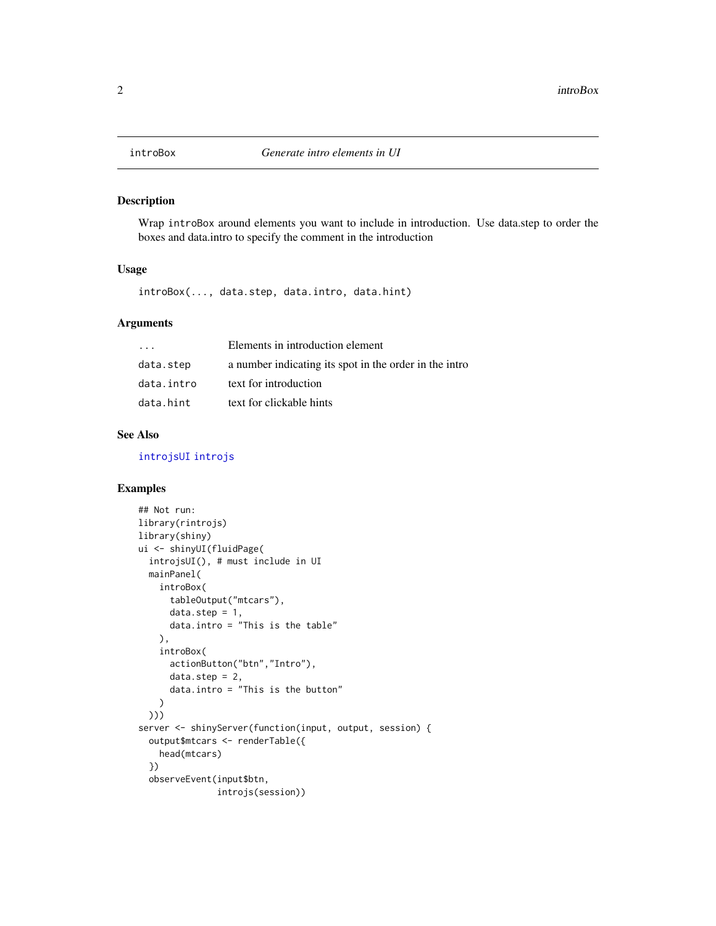<span id="page-1-1"></span><span id="page-1-0"></span>

#### Description

Wrap introBox around elements you want to include in introduction. Use data.step to order the boxes and data.intro to specify the comment in the introduction

# Usage

introBox(..., data.step, data.intro, data.hint)

# Arguments

| $\cdot$ $\cdot$ $\cdot$ | Elements in introduction element                       |
|-------------------------|--------------------------------------------------------|
| data.step               | a number indicating its spot in the order in the intro |
| data.intro              | text for introduction                                  |
| data.hint               | text for clickable hints                               |

# See Also

[introjsUI](#page-3-1) [introjs](#page-2-1)

# Examples

```
## Not run:
library(rintrojs)
library(shiny)
ui <- shinyUI(fluidPage(
  introjsUI(), # must include in UI
  mainPanel(
    introBox(
      tableOutput("mtcars"),
      data.step = 1,
      data.intro = "This is the table"
    ),
    introBox(
      actionButton("btn","Intro"),
      data.setep = 2,data.intro = "This is the button"
    )
  )))
server <- shinyServer(function(input, output, session) {
  output$mtcars <- renderTable({
    head(mtcars)
  })
  observeEvent(input$btn,
               introjs(session))
```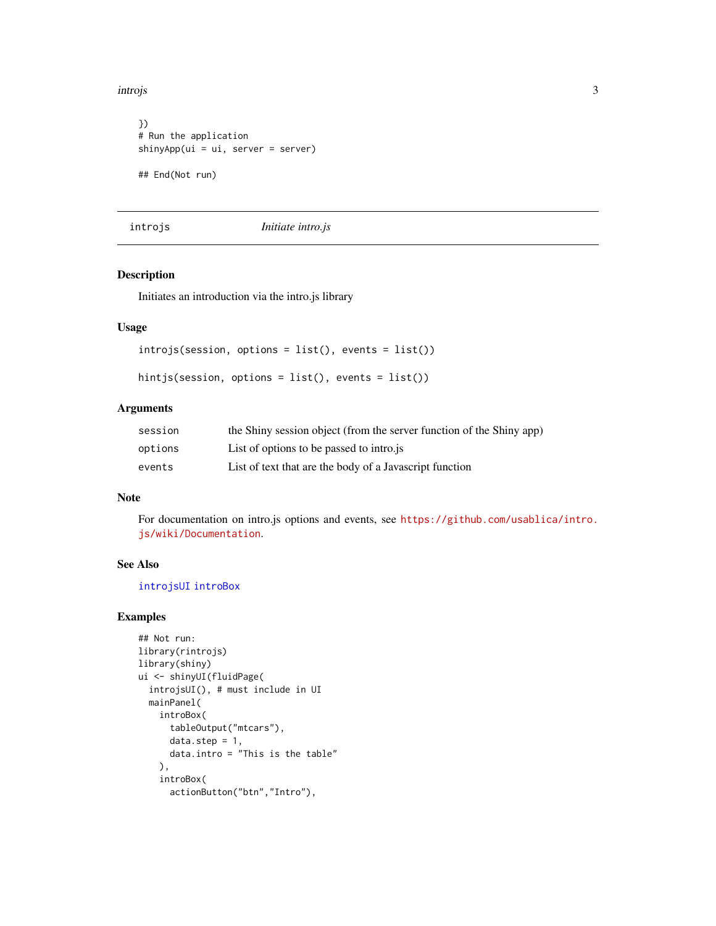<span id="page-2-0"></span>introjs 3

```
})
# Run the application
shinyApp(ui = ui, server = server)
## End(Not run)
```
# <span id="page-2-1"></span>introjs *Initiate intro.js*

# Description

Initiates an introduction via the intro.js library

# Usage

```
introjs(session, options = list(), events = list())
```

```
hintjs(session, options = list(), events = list())
```
# Arguments

| session | the Shiny session object (from the server function of the Shiny app) |
|---------|----------------------------------------------------------------------|
| options | List of options to be passed to intro.js                             |
| events  | List of text that are the body of a Javascript function              |

# Note

For documentation on intro.js options and events, see [https://github.com/usablica/intro.](https://github.com/usablica/intro.js/wiki/Documentation) [js/wiki/Documentation](https://github.com/usablica/intro.js/wiki/Documentation).

# See Also

[introjsUI](#page-3-1) [introBox](#page-1-1)

# Examples

```
## Not run:
library(rintrojs)
library(shiny)
ui <- shinyUI(fluidPage(
  introjsUI(), # must include in UI
  mainPanel(
   introBox(
      tableOutput("mtcars"),
      data.step = 1,
      data.intro = "This is the table"
   ),
    introBox(
      actionButton("btn","Intro"),
```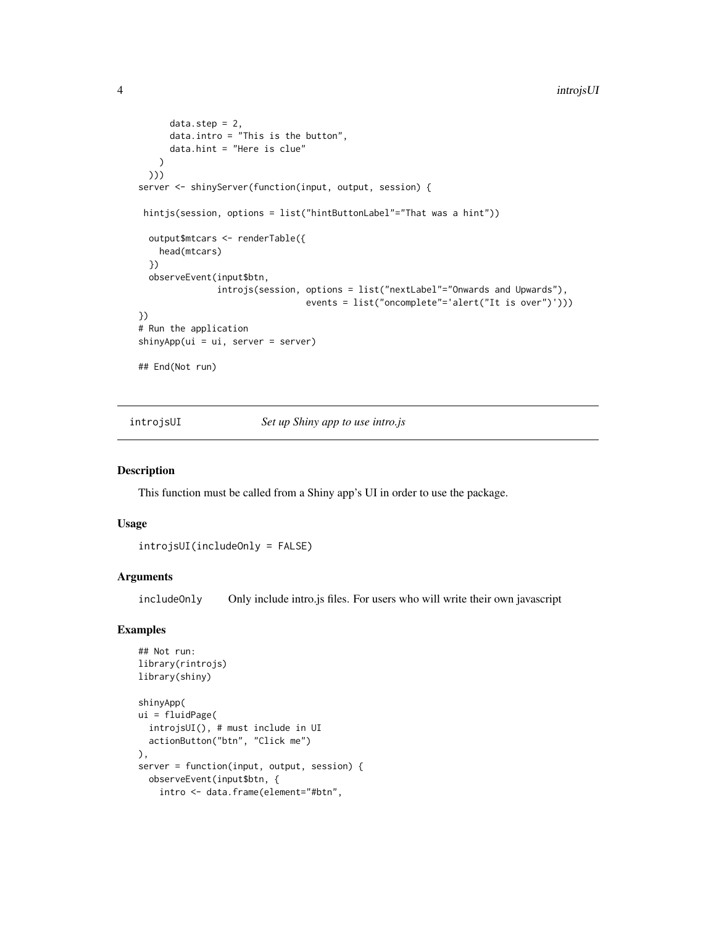```
data.step = 2,
     data.intro = "This is the button",
     data.hint = "Here is clue"
   )
 )))
server <- shinyServer(function(input, output, session) {
hintjs(session, options = list("hintButtonLabel"="That was a hint"))
 output$mtcars <- renderTable({
   head(mtcars)
 })
 observeEvent(input$btn,
               introjs(session, options = list("nextLabel"="Onwards and Upwards"),
                                events = list("oncomplete"='alert("It is over")')))
})
# Run the application
shinyApp(ui = ui, server = server)
## End(Not run)
```
introjsUI *Set up Shiny app to use intro.js*

### Description

This function must be called from a Shiny app's UI in order to use the package.

# Usage

```
introjsUI(includeOnly = FALSE)
```
# Arguments

includeOnly Only include intro.js files. For users who will write their own javascript

# Examples

```
## Not run:
library(rintrojs)
library(shiny)
shinyApp(
ui = fluidPage(
  introjsUI(), # must include in UI
  actionButton("btn", "Click me")
),
server = function(input, output, session) {
  observeEvent(input$btn, {
   intro <- data.frame(element="#btn",
```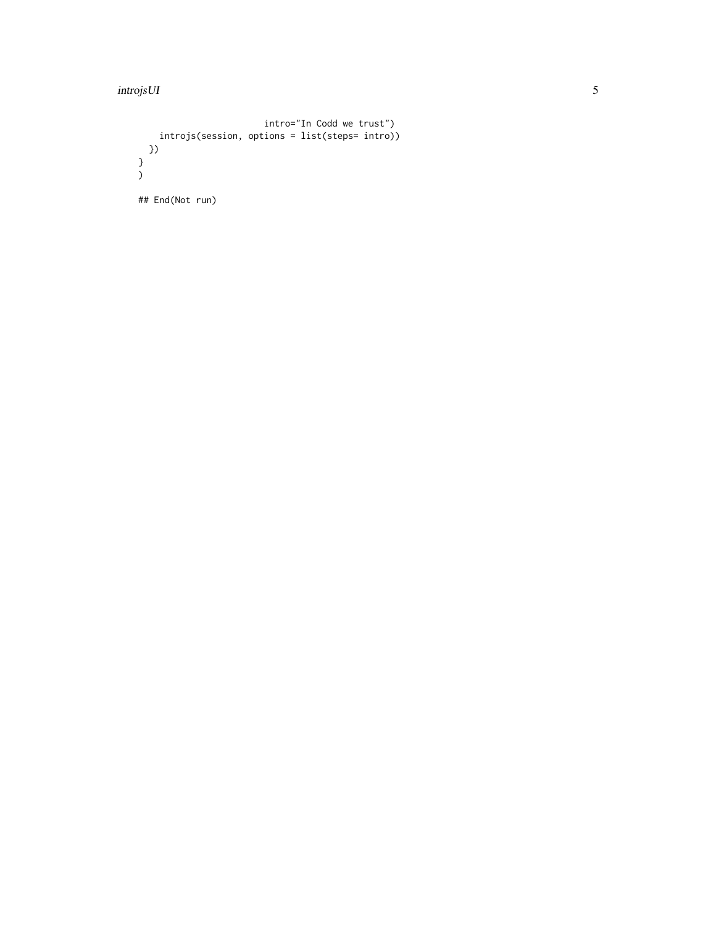# introjsUI 5

```
intro="In Codd we trust")
     introjs(session, options = list(steps= intro))
  })
}
)
## End(Not run)
```